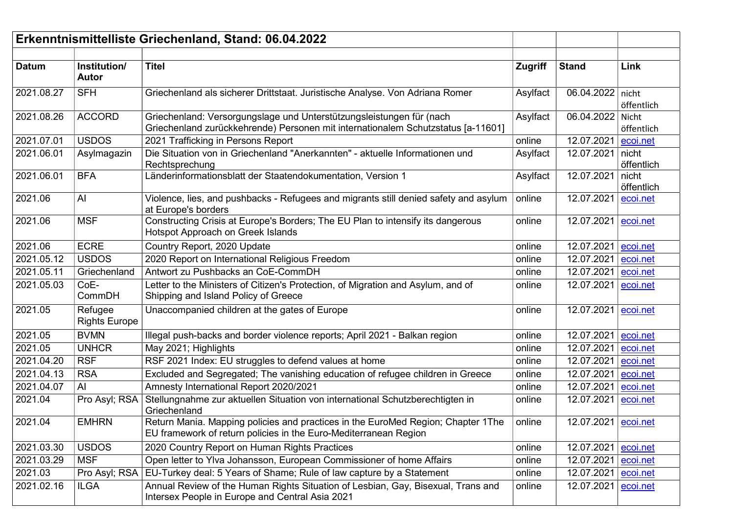| Erkenntnismittelliste Griechenland, Stand: 06.04.2022 |                                 |                                                                                                                                                               |                |                     |                     |
|-------------------------------------------------------|---------------------------------|---------------------------------------------------------------------------------------------------------------------------------------------------------------|----------------|---------------------|---------------------|
| <b>Datum</b>                                          | Institution/<br><b>Autor</b>    | <b>Titel</b>                                                                                                                                                  | <b>Zugriff</b> | <b>Stand</b>        | Link                |
| 2021.08.27                                            | <b>SFH</b>                      | Griechenland als sicherer Drittstaat. Juristische Analyse. Von Adriana Romer                                                                                  | Asylfact       | 06.04.2022 nicht    | öffentlich          |
| 2021.08.26                                            | <b>ACCORD</b>                   | Griechenland: Versorgungslage und Unterstützungsleistungen für (nach<br>Griechenland zurückkehrende) Personen mit internationalem Schutzstatus [a-11601]      | Asylfact       | 06.04.2022          | Nicht<br>öffentlich |
| 2021.07.01                                            | <b>USDOS</b>                    | 2021 Trafficking in Persons Report                                                                                                                            | online         | 12.07.2021          | ecoi.net            |
| 2021.06.01                                            | Asylmagazin                     | Die Situation von in Griechenland "Anerkannten" - aktuelle Informationen und<br>Rechtsprechung                                                                | Asylfact       | 12.07.2021          | nicht<br>öffentlich |
| 2021.06.01                                            | <b>BFA</b>                      | Länderinformationsblatt der Staatendokumentation, Version 1                                                                                                   | Asylfact       | 12.07.2021          | nicht<br>öffentlich |
| 2021.06                                               | AI                              | Violence, lies, and pushbacks - Refugees and migrants still denied safety and asylum<br>at Europe's borders                                                   | online         | 12.07.2021          | ecoi.net            |
| 2021.06                                               | <b>MSF</b>                      | Constructing Crisis at Europe's Borders; The EU Plan to intensify its dangerous<br>Hotspot Approach on Greek Islands                                          | online         | 12.07.2021          | ecoi.net            |
| 2021.06                                               | <b>ECRE</b>                     | Country Report, 2020 Update                                                                                                                                   | online         | 12.07.2021          | ecoi.net            |
| 2021.05.12                                            | <b>USDOS</b>                    | 2020 Report on International Religious Freedom                                                                                                                | online         | 12.07.2021          | ecoi.net            |
| 2021.05.11                                            | Griechenland                    | Antwort zu Pushbacks an CoE-CommDH                                                                                                                            | online         | 12.07.2021          | ecoi.net            |
| 2021.05.03                                            | CoE-<br>CommDH                  | Letter to the Ministers of Citizen's Protection, of Migration and Asylum, and of<br>Shipping and Island Policy of Greece                                      | online         | 12.07.2021          | ecoi.net            |
| 2021.05                                               | Refugee<br><b>Rights Europe</b> | Unaccompanied children at the gates of Europe                                                                                                                 | online         | 12.07.2021          | ecoi.net            |
| 2021.05                                               | <b>BVMN</b>                     | Illegal push-backs and border violence reports; April 2021 - Balkan region                                                                                    | online         | 12.07.2021          | ecoi.net            |
| 2021.05                                               | <b>UNHCR</b>                    | May 2021; Highlights                                                                                                                                          | online         | 12.07.2021          | ecoi.net            |
| 2021.04.20                                            | <b>RSF</b>                      | RSF 2021 Index: EU struggles to defend values at home                                                                                                         | online         | 12.07.2021          | ecoi.net            |
| 2021.04.13                                            | <b>RSA</b>                      | Excluded and Segregated; The vanishing education of refugee children in Greece                                                                                | online         | 12.07.2021          | ecoi.net            |
| 2021.04.07                                            | AI                              | Amnesty International Report 2020/2021                                                                                                                        | online         | 12.07.2021          | ecoi.net            |
| 2021.04                                               | Pro Asyl; RSA                   | Stellungnahme zur aktuellen Situation von international Schutzberechtigten in<br>Griechenland                                                                 | online         | 12.07.2021          | ecoi.net            |
| 2021.04                                               | <b>EMHRN</b>                    | Return Mania. Mapping policies and practices in the EuroMed Region; Chapter 1The   online<br>EU framework of return policies in the Euro-Mediterranean Region |                | 12.07.2021 ecoi.net |                     |
| 2021.03.30                                            | <b>USDOS</b>                    | 2020 Country Report on Human Rights Practices                                                                                                                 | online         | 12.07.2021 ecoi.net |                     |
| 2021.03.29                                            | <b>MSF</b>                      | Open letter to Ylva Johansson, European Commissioner of home Affairs                                                                                          | online         | 12.07.2021          | ecoi.net            |
| 2021.03                                               | Pro Asyl; RSA                   | EU-Turkey deal: 5 Years of Shame; Rule of law capture by a Statement                                                                                          | online         | 12.07.2021          | ecoi.net            |
| 2021.02.16                                            | ILGA                            | Annual Review of the Human Rights Situation of Lesbian, Gay, Bisexual, Trans and<br>Intersex People in Europe and Central Asia 2021                           | online         | 12.07.2021          | ecoi.net            |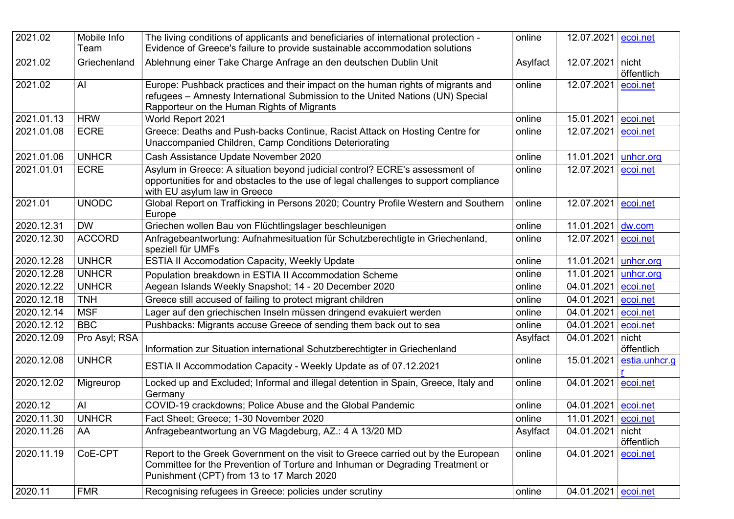| 2021.02    | Mobile Info<br>Team | The living conditions of applicants and beneficiaries of international protection -<br>Evidence of Greece's failure to provide sustainable accommodation solutions                                              | online   | 12.07.2021          | ecoi.net            |
|------------|---------------------|-----------------------------------------------------------------------------------------------------------------------------------------------------------------------------------------------------------------|----------|---------------------|---------------------|
| 2021.02    | Griechenland        | Ablehnung einer Take Charge Anfrage an den deutschen Dublin Unit                                                                                                                                                | Asylfact | 12.07.2021          | nicht<br>öffentlich |
| 2021.02    | AI                  | Europe: Pushback practices and their impact on the human rights of migrants and<br>refugees - Amnesty International Submission to the United Nations (UN) Special<br>Rapporteur on the Human Rights of Migrants | online   | 12.07.2021          | ecoi.net            |
| 2021.01.13 | <b>HRW</b>          | World Report 2021                                                                                                                                                                                               | online   | 15.01.2021          | ecoi.net            |
| 2021.01.08 | <b>ECRE</b>         | Greece: Deaths and Push-backs Continue, Racist Attack on Hosting Centre for<br>Unaccompanied Children, Camp Conditions Deteriorating                                                                            | online   | 12.07.2021          | ecoi.net            |
| 2021.01.06 | <b>UNHCR</b>        | Cash Assistance Update November 2020                                                                                                                                                                            | online   | 11.01.2021          | unhcr.org           |
| 2021.01.01 | <b>ECRE</b>         | Asylum in Greece: A situation beyond judicial control? ECRE's assessment of<br>opportunities for and obstacles to the use of legal challenges to support compliance<br>with EU asylum law in Greece             | online   | 12.07.2021          | ecoi.net            |
| 2021.01    | <b>UNODC</b>        | Global Report on Trafficking in Persons 2020; Country Profile Western and Southern<br>Europe                                                                                                                    | online   | 12.07.2021          | ecoi.net            |
| 2020.12.31 | <b>DW</b>           | Griechen wollen Bau von Flüchtlingslager beschleunigen                                                                                                                                                          | online   | 11.01.2021          | dw.com              |
| 2020.12.30 | <b>ACCORD</b>       | Anfragebeantwortung: Aufnahmesituation für Schutzberechtigte in Griechenland,<br>speziell für UMFs                                                                                                              | online   | 12.07.2021          | ecoi.net            |
| 2020.12.28 | <b>UNHCR</b>        | <b>ESTIA II Accomodation Capacity, Weekly Update</b>                                                                                                                                                            | online   | 11.01.2021          | unhcr.org           |
| 2020.12.28 | <b>UNHCR</b>        | Population breakdown in ESTIA II Accommodation Scheme                                                                                                                                                           | online   | 11.01.2021          | unhcr.org           |
| 2020.12.22 | <b>UNHCR</b>        | Aegean Islands Weekly Snapshot; 14 - 20 December 2020                                                                                                                                                           | online   | 04.01.2021          | ecoi.net            |
| 2020.12.18 | <b>TNH</b>          | Greece still accused of failing to protect migrant children                                                                                                                                                     | online   | 04.01.2021          | ecoi.net            |
| 2020.12.14 | <b>MSF</b>          | Lager auf den griechischen Inseln müssen dringend evakuiert werden                                                                                                                                              | online   | 04.01.2021          | ecoi.net            |
| 2020.12.12 | <b>BBC</b>          | Pushbacks: Migrants accuse Greece of sending them back out to sea                                                                                                                                               | online   | 04.01.2021          | ecoi.net            |
| 2020.12.09 | Pro Asyl; RSA       | Information zur Situation international Schutzberechtigter in Griechenland                                                                                                                                      | Asylfact | 04.01.2021          | nicht<br>öffentlich |
| 2020.12.08 | <b>UNHCR</b>        | ESTIA II Accommodation Capacity - Weekly Update as of 07.12.2021                                                                                                                                                | online   | 15.01.2021          | estia.unhcr.g       |
| 2020.12.02 | Migreurop           | Locked up and Excluded; Informal and illegal detention in Spain, Greece, Italy and<br>Germany                                                                                                                   | online   | 04.01.2021          | ecoi.net            |
| 2020.12    | Al                  | COVID-19 crackdowns; Police Abuse and the Global Pandemic                                                                                                                                                       | online   | 04.01.2021 ecoi.net |                     |
| 2020.11.30 | <b>UNHCR</b>        | Fact Sheet; Greece; 1-30 November 2020                                                                                                                                                                          | online   | 11.01.2021 ecoi.net |                     |
| 2020.11.26 | AA                  | Anfragebeantwortung an VG Magdeburg, AZ.: 4 A 13/20 MD                                                                                                                                                          | Asylfact | 04.01.2021          | nicht<br>öffentlich |
| 2020.11.19 | CoE-CPT             | Report to the Greek Government on the visit to Greece carried out by the European<br>Committee for the Prevention of Torture and Inhuman or Degrading Treatment or<br>Punishment (CPT) from 13 to 17 March 2020 | online   | 04.01.2021          | ecoi.net            |
| 2020.11    | <b>FMR</b>          | Recognising refugees in Greece: policies under scrutiny                                                                                                                                                         | online   | 04.01.2021 ecoi.net |                     |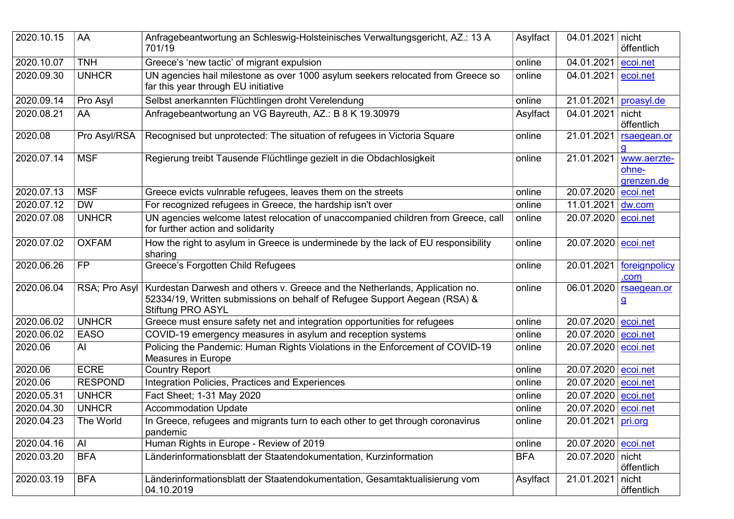| 2020.10.15 | AA             | Anfragebeantwortung an Schleswig-Holsteinisches Verwaltungsgericht, AZ.: 13 A<br>701/19                                                                                              | Asylfact   | 04.01.2021           | nicht<br>öffentlich                |
|------------|----------------|--------------------------------------------------------------------------------------------------------------------------------------------------------------------------------------|------------|----------------------|------------------------------------|
| 2020.10.07 | <b>TNH</b>     | Greece's 'new tactic' of migrant expulsion                                                                                                                                           | online     | 04.01.2021           | ecoi.net                           |
| 2020.09.30 | <b>UNHCR</b>   | UN agencies hail milestone as over 1000 asylum seekers relocated from Greece so<br>far this year through EU initiative                                                               | online     | 04.01.2021 ecoi.net  |                                    |
| 2020.09.14 | Pro Asyl       | Selbst anerkannten Flüchtlingen droht Verelendung                                                                                                                                    | online     | 21.01.2021           | proasyl.de                         |
| 2020.08.21 | AA             | Anfragebeantwortung an VG Bayreuth, AZ.: B 8 K 19.30979                                                                                                                              | Asylfact   | 04.01.2021           | nicht<br>öffentlich                |
| 2020.08    | Pro Asyl/RSA   | Recognised but unprotected: The situation of refugees in Victoria Square                                                                                                             | online     | 21.01.2021           | rsaegean.or<br>q                   |
| 2020.07.14 | <b>MSF</b>     | Regierung treibt Tausende Flüchtlinge gezielt in die Obdachlosigkeit                                                                                                                 | online     | 21.01.2021           | www.aerzte-<br>ohne-<br>grenzen.de |
| 2020.07.13 | <b>MSF</b>     | Greece evicts vulnrable refugees, leaves them on the streets                                                                                                                         | online     | 20.07.2020 ecoi.net  |                                    |
| 2020.07.12 | <b>DW</b>      | For recognized refugees in Greece, the hardship isn't over                                                                                                                           | online     | 11.01.2021           | dw.com                             |
| 2020.07.08 | <b>UNHCR</b>   | UN agencies welcome latest relocation of unaccompanied children from Greece, call<br>for further action and solidarity                                                               | online     | 20.07.2020 ecoi.net  |                                    |
| 2020.07.02 | <b>OXFAM</b>   | How the right to asylum in Greece is underminede by the lack of EU responsibility<br>sharing                                                                                         | online     | 20.07.2020 ecoi.net  |                                    |
| 2020.06.26 | <b>FP</b>      | Greece's Forgotten Child Refugees                                                                                                                                                    | online     | 20.01.2021           | foreignpolicy<br>.com              |
| 2020.06.04 | RSA; Pro Asyl  | Kurdestan Darwesh and others v. Greece and the Netherlands, Application no.<br>52334/19, Written submissions on behalf of Refugee Support Aegean (RSA) &<br><b>Stiftung PRO ASYL</b> | online     | 06.01.2020           | rsaegean.or<br><u>g</u>            |
| 2020.06.02 | <b>UNHCR</b>   | Greece must ensure safety net and integration opportunities for refugees                                                                                                             | online     | 20.07.2020 ecoi.net  |                                    |
| 2020.06.02 | <b>EASO</b>    | COVID-19 emergency measures in asylum and reception systems                                                                                                                          | online     | 20.07.2020 ecoi.net  |                                    |
| 2020.06    | AI             | Policing the Pandemic: Human Rights Violations in the Enforcement of COVID-19<br>Measures in Europe                                                                                  | online     | 20.07.2020 ecoi.net  |                                    |
| 2020.06    | <b>ECRE</b>    | <b>Country Report</b>                                                                                                                                                                | online     | 20.07.2020 ecoi.net  |                                    |
| 2020.06    | <b>RESPOND</b> | Integration Policies, Practices and Experiences                                                                                                                                      | online     | 20.07.2020 ecoi.net  |                                    |
| 2020.05.31 | <b>UNHCR</b>   | Fact Sheet; 1-31 May 2020                                                                                                                                                            | online     | 20.07.2020 ecoi.net  |                                    |
| 2020.04.30 | <b>UNHCR</b>   | <b>Accommodation Update</b>                                                                                                                                                          | online     | 20.07.2020 ecoi.net  |                                    |
| 2020.04.23 | The World      | In Greece, refugees and migrants turn to each other to get through coronavirus<br>pandemic                                                                                           | online     | 20.01.2021   pri.org |                                    |
| 2020.04.16 | AI             | Human Rights in Europe - Review of 2019                                                                                                                                              | online     | 20.07.2020 ecoi.net  |                                    |
| 2020.03.20 | <b>BFA</b>     | Länderinformationsblatt der Staatendokumentation, Kurzinformation                                                                                                                    | <b>BFA</b> | 20.07.2020 nicht     | öffentlich                         |
| 2020.03.19 | <b>BFA</b>     | Länderinformationsblatt der Staatendokumentation, Gesamtaktualisierung vom<br>04.10.2019                                                                                             | Asylfact   | 21.01.2021           | nicht<br>öffentlich                |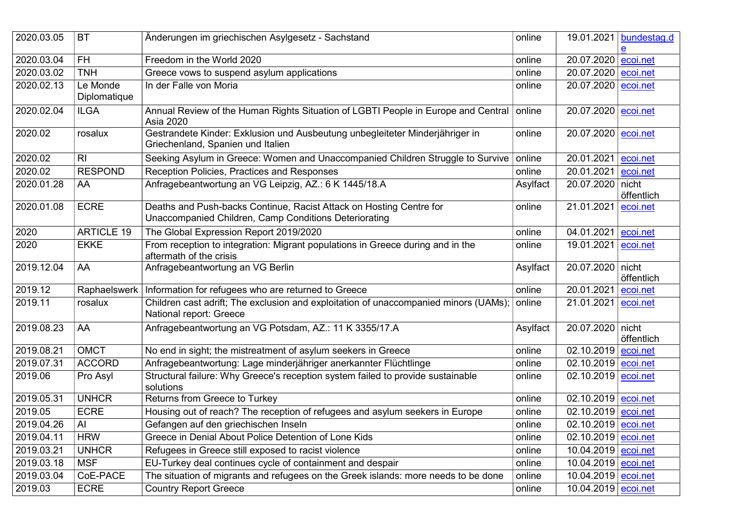| 2020.03.05 | <b>BT</b>                | Änderungen im griechischen Asylgesetz - Sachstand                                                                            | online   | 19.01.2021                 | bundestag.d         |
|------------|--------------------------|------------------------------------------------------------------------------------------------------------------------------|----------|----------------------------|---------------------|
| 2020.03.04 | <b>FH</b>                | Freedom in the World 2020                                                                                                    | online   | 20.07.2020 ecoi.net        |                     |
| 2020.03.02 | <b>TNH</b>               | Greece vows to suspend asylum applications                                                                                   | online   | 20.07.2020                 | ecoi.net            |
| 2020.02.13 | Le Monde<br>Diplomatique | In der Falle von Moria                                                                                                       | online   | 20.07.2020 ecoi.net        |                     |
| 2020.02.04 | <b>ILGA</b>              | Annual Review of the Human Rights Situation of LGBTI People in Europe and Central<br>Asia 2020                               | online   | 20.07.2020 ecoi.net        |                     |
| 2020.02    | rosalux                  | Gestrandete Kinder: Exklusion und Ausbeutung unbegleiteter Minderjähriger in<br>Griechenland, Spanien und Italien            | online   | 20.07.2020 ecoi.net        |                     |
| 2020.02    | R <sub>l</sub>           | Seeking Asylum in Greece: Women and Unaccompanied Children Struggle to Survive                                               | online   | 20.01.2021                 | ecoi.net            |
| 2020.02    | <b>RESPOND</b>           | Reception Policies, Practices and Responses                                                                                  | online   | 20.01.2021                 | ecoi.net            |
| 2020.01.28 | AA                       | Anfragebeantwortung an VG Leipzig, AZ.: 6 K 1445/18.A                                                                        | Asylfact | 20.07.2020                 | nicht<br>öffentlich |
| 2020.01.08 | <b>ECRE</b>              | Deaths and Push-backs Continue, Racist Attack on Hosting Centre for<br>Unaccompanied Children, Camp Conditions Deteriorating | online   | 21.01.2021                 | ecoi.net            |
| 2020       | <b>ARTICLE 19</b>        | The Global Expression Report 2019/2020                                                                                       | online   | 04.01.2021                 | ecoi.net            |
| 2020       | <b>EKKE</b>              | From reception to integration: Migrant populations in Greece during and in the<br>aftermath of the crisis                    | online   | 19.01.2021                 | ecoi.net            |
| 2019.12.04 | AA                       | Anfragebeantwortung an VG Berlin                                                                                             | Asylfact | 20.07.2020 nicht           | öffentlich          |
| 2019.12    | Raphaelswerk             | Information for refugees who are returned to Greece                                                                          | online   | 20.01.2021                 | ecoi.net            |
| 2019.11    | rosalux                  | Children cast adrift; The exclusion and exploitation of unaccompanied minors (UAMs)<br>National report: Greece               | online   | 21.01.2021                 | ecoi.net            |
| 2019.08.23 | AA                       | Anfragebeantwortung an VG Potsdam, AZ.: 11 K 3355/17.A                                                                       | Asylfact | 20.07.2020 nicht           | öffentlich          |
| 2019.08.21 | <b>OMCT</b>              | No end in sight; the mistreatment of asylum seekers in Greece                                                                | online   | 02.10.2019 ecoi.net        |                     |
| 2019.07.31 | <b>ACCORD</b>            | Anfragebeantwortung: Lage minderjähriger anerkannter Flüchtlinge                                                             | online   | 02.10.2019 ecoi.net        |                     |
| 2019.06    | Pro Asyl                 | Structural failure: Why Greece's reception system failed to provide sustainable<br>solutions                                 | online   | 02.10.2019 ecoi.net        |                     |
| 2019.05.31 | <b>UNHCR</b>             | Returns from Greece to Turkey                                                                                                | online   | 02.10.2019 ecoi.net        |                     |
| 2019.05    | <b>ECRE</b>              | Housing out of reach? The reception of refugees and asylum seekers in Europe                                                 | online   | 02.10.2019 ecoi.net        |                     |
| 2019.04.26 | Al                       | Gefangen auf den griechischen Inseln                                                                                         | online   | 02.10.2019 <u>ecoi.net</u> |                     |
| 2019.04.11 | <b>HRW</b>               | Greece in Denial About Police Detention of Lone Kids                                                                         | online   | 02.10.2019 ecoi.net        |                     |
| 2019.03.21 | <b>UNHCR</b>             | Refugees in Greece still exposed to racist violence                                                                          | online   | 10.04.2019 ecoi.net        |                     |
| 2019.03.18 | <b>MSF</b>               | EU-Turkey deal continues cycle of containment and despair                                                                    | online   | 10.04.2019 ecoi.net        |                     |
| 2019.03.04 | CoE-PACE                 | The situation of migrants and refugees on the Greek islands: more needs to be done                                           | online   | 10.04.2019 ecoi.net        |                     |
| 2019.03    | <b>ECRE</b>              | <b>Country Report Greece</b>                                                                                                 | online   | 10.04.2019 ecoi.net        |                     |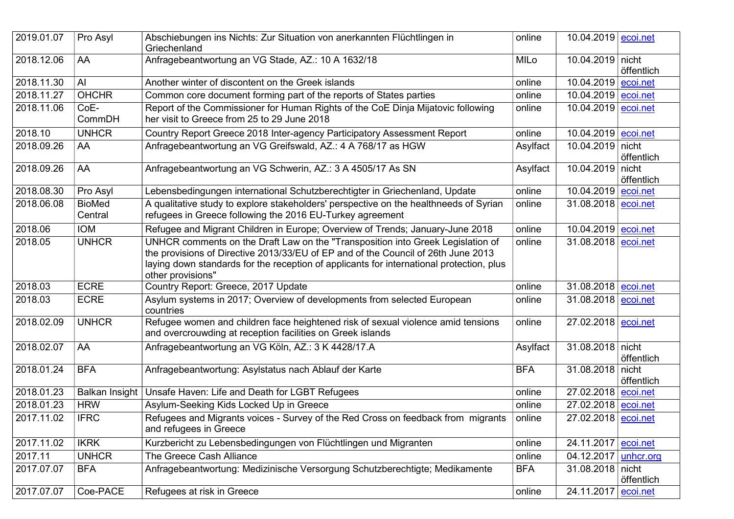| 2019.01.07 | Pro Asyl                 | Abschiebungen ins Nichts: Zur Situation von anerkannten Flüchtlingen in<br>Griechenland                                                                                                                                                                                               | online      | 10.04.2019 ecoi.net        |                     |
|------------|--------------------------|---------------------------------------------------------------------------------------------------------------------------------------------------------------------------------------------------------------------------------------------------------------------------------------|-------------|----------------------------|---------------------|
| 2018.12.06 | AA                       | Anfragebeantwortung an VG Stade, AZ.: 10 A 1632/18                                                                                                                                                                                                                                    | <b>MILo</b> | 10.04.2019 nicht           | öffentlich          |
| 2018.11.30 | AI                       | Another winter of discontent on the Greek islands                                                                                                                                                                                                                                     | online      | $10.04.2019$ ecoi.net      |                     |
| 2018.11.27 | <b>OHCHR</b>             | Common core document forming part of the reports of States parties                                                                                                                                                                                                                    | online      | 10.04.2019 ecoi.net        |                     |
| 2018.11.06 | CoE-<br>CommDH           | Report of the Commissioner for Human Rights of the CoE Dinja Mijatovic following<br>her visit to Greece from 25 to 29 June 2018                                                                                                                                                       | online      | 10.04.2019 $ ecoi.net$     |                     |
| 2018.10    | <b>UNHCR</b>             | Country Report Greece 2018 Inter-agency Participatory Assessment Report                                                                                                                                                                                                               | online      | 10.04.2019 ecoi.net        |                     |
| 2018.09.26 | AA                       | Anfragebeantwortung an VG Greifswald, AZ.: 4 A 768/17 as HGW                                                                                                                                                                                                                          | Asylfact    | 10.04.2019 nicht           | öffentlich          |
| 2018.09.26 | AA                       | Anfragebeantwortung an VG Schwerin, AZ.: 3 A 4505/17 As SN                                                                                                                                                                                                                            | Asylfact    | 10.04.2019                 | nicht<br>öffentlich |
| 2018.08.30 | Pro Asyl                 | Lebensbedingungen international Schutzberechtigter in Griechenland, Update                                                                                                                                                                                                            | online      | 10.04.2019 ecoi.net        |                     |
| 2018.06.08 | <b>BioMed</b><br>Central | A qualitative study to explore stakeholders' perspective on the healthneeds of Syrian<br>refugees in Greece following the 2016 EU-Turkey agreement                                                                                                                                    | online      | 31.08.2018 ecoi.net        |                     |
| 2018.06    | <b>IOM</b>               | Refugee and Migrant Children in Europe; Overview of Trends; January-June 2018                                                                                                                                                                                                         | online      | 10.04.2019 $ ecoi.net$     |                     |
| 2018.05    | <b>UNHCR</b>             | UNHCR comments on the Draft Law on the "Transposition into Greek Legislation of<br>the provisions of Directive 2013/33/EU of EP and of the Council of 26th June 2013<br>laying down standards for the reception of applicants for international protection, plus<br>other provisions" | online      | 31.08.2018 <u>ecoi.net</u> |                     |
| 2018.03    | <b>ECRE</b>              | Country Report: Greece, 2017 Update                                                                                                                                                                                                                                                   | online      | 31.08.2018 <u>ecoi.net</u> |                     |
| 2018.03    | <b>ECRE</b>              | Asylum systems in 2017; Overview of developments from selected European<br>countries                                                                                                                                                                                                  | online      | 31.08.2018 ecoi.net        |                     |
| 2018.02.09 | <b>UNHCR</b>             | Refugee women and children face heightened risk of sexual violence amid tensions<br>and overcrouwding at reception facilities on Greek islands                                                                                                                                        | online      | 27.02.2018 ecoi.net        |                     |
| 2018.02.07 | AA                       | Anfragebeantwortung an VG Köln, AZ.: 3 K 4428/17.A                                                                                                                                                                                                                                    | Asylfact    | 31.08.2018 nicht           | öffentlich          |
| 2018.01.24 | <b>BFA</b>               | Anfragebeantwortung: Asylstatus nach Ablauf der Karte                                                                                                                                                                                                                                 | <b>BFA</b>  | 31.08.2018 nicht           | öffentlich          |
| 2018.01.23 | Balkan Insight           | Unsafe Haven: Life and Death for LGBT Refugees                                                                                                                                                                                                                                        | online      | 27.02.2018 ecoi.net        |                     |
| 2018.01.23 | <b>HRW</b>               | Asylum-Seeking Kids Locked Up in Greece                                                                                                                                                                                                                                               | online      | 27.02.2018 ecoi.net        |                     |
| 2017.11.02 | <b>IFRC</b>              | Refugees and Migrants voices - Survey of the Red Cross on feedback from migrants<br>and refugees in Greece                                                                                                                                                                            | online      | 27.02.2018 ecoi.net        |                     |
| 2017.11.02 | <b>IKRK</b>              | Kurzbericht zu Lebensbedingungen von Flüchtlingen und Migranten                                                                                                                                                                                                                       | online      | 24.11.2017 ecoi.net        |                     |
| 2017.11    | <b>UNHCR</b>             | The Greece Cash Alliance                                                                                                                                                                                                                                                              | online      | 04.12.2017                 | unhcr.org           |
| 2017.07.07 | <b>BFA</b>               | Anfragebeantwortung: Medizinische Versorgung Schutzberechtigte; Medikamente                                                                                                                                                                                                           | <b>BFA</b>  | 31.08.2018 nicht           | öffentlich          |
| 2017.07.07 | Coe-PACE                 | Refugees at risk in Greece                                                                                                                                                                                                                                                            | online      | 24.11.2017                 | ecoi.net            |